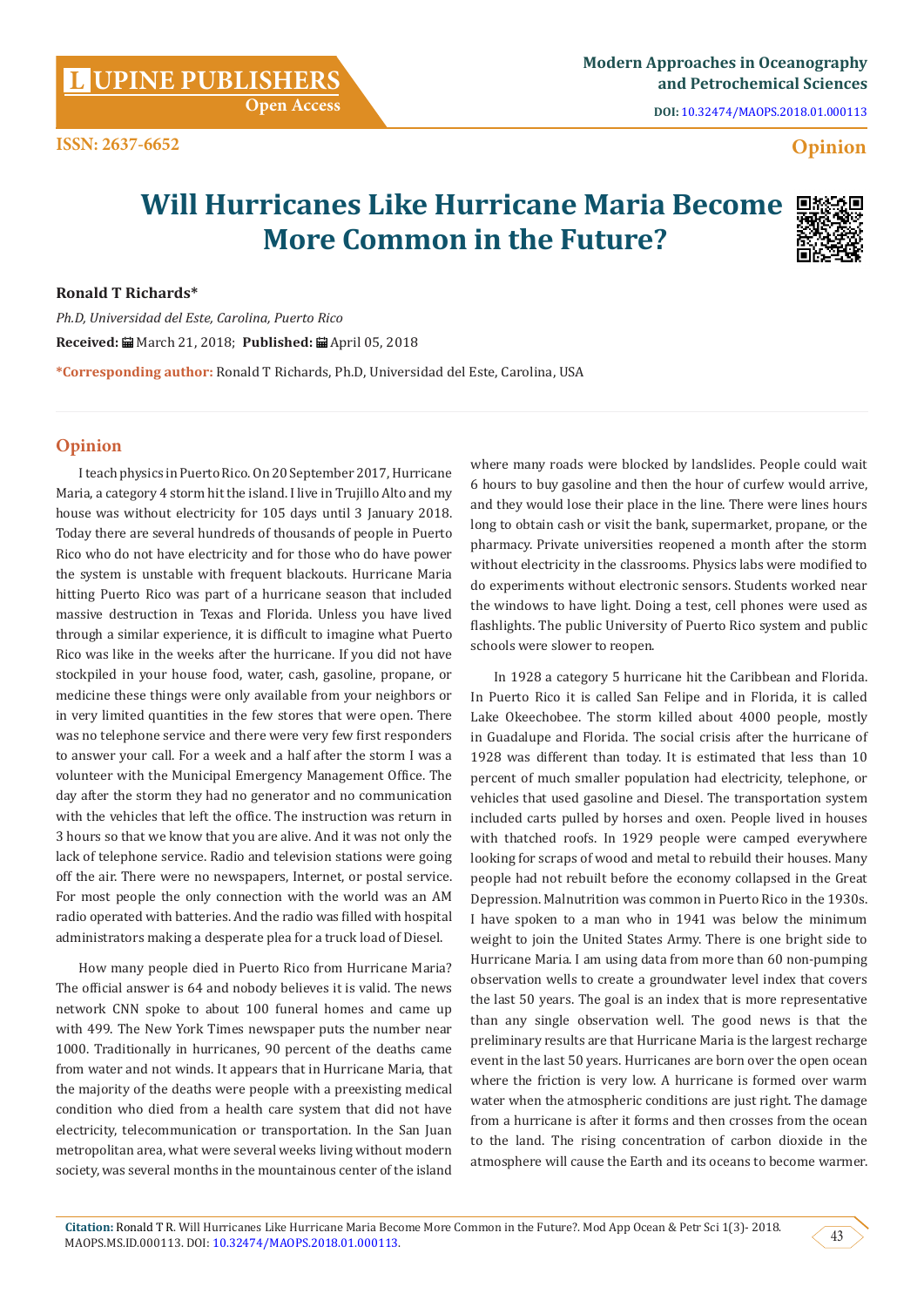**DOI:** [10.32474/MAOPS.2018.01.000113](http://dx.doi.org/10.32474/MAOPS.2018.01.000113)

# **ISSN: 2637-6652 Opinion**

# **Will Hurricanes Like Hurricane Maria Become More Common in the Future?**



## **Ronald T Richards\***

*Ph.D, Universidad del Este, Carolina, Puerto Rico* **Received:** March 21, 2018; **Published:** April 05, 2018 **\*Corresponding author:** Ronald T Richards, Ph.D, Universidad del Este, Carolina, USA

# **Opinion**

I teach physics in Puerto Rico. On 20 September 2017, Hurricane Maria, a category 4 storm hit the island. I live in Trujillo Alto and my house was without electricity for 105 days until 3 January 2018. Today there are several hundreds of thousands of people in Puerto Rico who do not have electricity and for those who do have power the system is unstable with frequent blackouts. Hurricane Maria hitting Puerto Rico was part of a hurricane season that included massive destruction in Texas and Florida. Unless you have lived through a similar experience, it is difficult to imagine what Puerto Rico was like in the weeks after the hurricane. If you did not have stockpiled in your house food, water, cash, gasoline, propane, or medicine these things were only available from your neighbors or in very limited quantities in the few stores that were open. There was no telephone service and there were very few first responders to answer your call. For a week and a half after the storm I was a volunteer with the Municipal Emergency Management Office. The day after the storm they had no generator and no communication with the vehicles that left the office. The instruction was return in 3 hours so that we know that you are alive. And it was not only the lack of telephone service. Radio and television stations were going off the air. There were no newspapers, Internet, or postal service. For most people the only connection with the world was an AM radio operated with batteries. And the radio was filled with hospital administrators making a desperate plea for a truck load of Diesel.

How many people died in Puerto Rico from Hurricane Maria? The official answer is 64 and nobody believes it is valid. The news network CNN spoke to about 100 funeral homes and came up with 499. The New York Times newspaper puts the number near 1000. Traditionally in hurricanes, 90 percent of the deaths came from water and not winds. It appears that in Hurricane Maria, that the majority of the deaths were people with a preexisting medical condition who died from a health care system that did not have electricity, telecommunication or transportation. In the San Juan metropolitan area, what were several weeks living without modern society, was several months in the mountainous center of the island

where many roads were blocked by landslides. People could wait 6 hours to buy gasoline and then the hour of curfew would arrive, and they would lose their place in the line. There were lines hours long to obtain cash or visit the bank, supermarket, propane, or the pharmacy. Private universities reopened a month after the storm without electricity in the classrooms. Physics labs were modified to do experiments without electronic sensors. Students worked near the windows to have light. Doing a test, cell phones were used as flashlights. The public University of Puerto Rico system and public schools were slower to reopen.

In 1928 a category 5 hurricane hit the Caribbean and Florida. In Puerto Rico it is called San Felipe and in Florida, it is called Lake Okeechobee. The storm killed about 4000 people, mostly in Guadalupe and Florida. The social crisis after the hurricane of 1928 was different than today. It is estimated that less than 10 percent of much smaller population had electricity, telephone, or vehicles that used gasoline and Diesel. The transportation system included carts pulled by horses and oxen. People lived in houses with thatched roofs. In 1929 people were camped everywhere looking for scraps of wood and metal to rebuild their houses. Many people had not rebuilt before the economy collapsed in the Great Depression. Malnutrition was common in Puerto Rico in the 1930s. I have spoken to a man who in 1941 was below the minimum weight to join the United States Army. There is one bright side to Hurricane Maria. I am using data from more than 60 non-pumping observation wells to create a groundwater level index that covers the last 50 years. The goal is an index that is more representative than any single observation well. The good news is that the preliminary results are that Hurricane Maria is the largest recharge event in the last 50 years. Hurricanes are born over the open ocean where the friction is very low. A hurricane is formed over warm water when the atmospheric conditions are just right. The damage from a hurricane is after it forms and then crosses from the ocean to the land. The rising concentration of carbon dioxide in the atmosphere will cause the Earth and its oceans to become warmer.